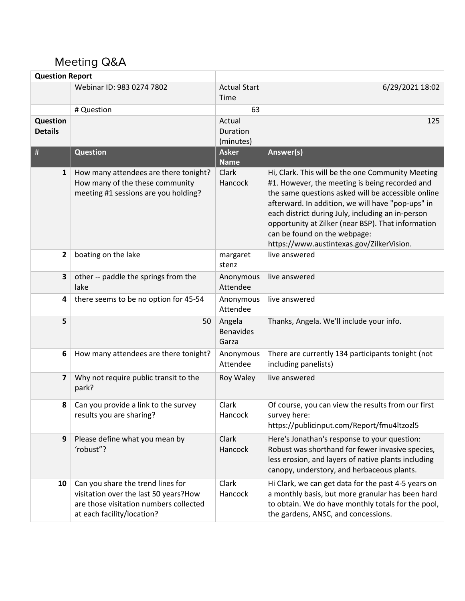## Meeting Q&A

| <b>Question Report</b>     |                                                                                                                                                     |                                     |                                                                                                                                                                                                                                                                                                                                                                                                        |
|----------------------------|-----------------------------------------------------------------------------------------------------------------------------------------------------|-------------------------------------|--------------------------------------------------------------------------------------------------------------------------------------------------------------------------------------------------------------------------------------------------------------------------------------------------------------------------------------------------------------------------------------------------------|
|                            | Webinar ID: 983 0274 7802                                                                                                                           | <b>Actual Start</b><br>Time         | 6/29/2021 18:02                                                                                                                                                                                                                                                                                                                                                                                        |
|                            | # Question                                                                                                                                          | 63                                  |                                                                                                                                                                                                                                                                                                                                                                                                        |
| Question<br><b>Details</b> |                                                                                                                                                     | Actual<br>Duration<br>(minutes)     | 125                                                                                                                                                                                                                                                                                                                                                                                                    |
| #                          | <b>Question</b>                                                                                                                                     | <b>Asker</b><br><b>Name</b>         | Answer(s)                                                                                                                                                                                                                                                                                                                                                                                              |
| $\mathbf{1}$               | How many attendees are there tonight?<br>How many of the these community<br>meeting #1 sessions are you holding?                                    | Clark<br>Hancock                    | Hi, Clark. This will be the one Community Meeting<br>#1. However, the meeting is being recorded and<br>the same questions asked will be accessible online<br>afterward. In addition, we will have "pop-ups" in<br>each district during July, including an in-person<br>opportunity at Zilker (near BSP). That information<br>can be found on the webpage:<br>https://www.austintexas.gov/ZilkerVision. |
| $\overline{2}$             | boating on the lake                                                                                                                                 | margaret<br>stenz                   | live answered                                                                                                                                                                                                                                                                                                                                                                                          |
| 3                          | other -- paddle the springs from the<br>lake                                                                                                        | Anonymous<br>Attendee               | live answered                                                                                                                                                                                                                                                                                                                                                                                          |
| 4                          | there seems to be no option for 45-54                                                                                                               | Anonymous<br>Attendee               | live answered                                                                                                                                                                                                                                                                                                                                                                                          |
| 5                          | 50                                                                                                                                                  | Angela<br><b>Benavides</b><br>Garza | Thanks, Angela. We'll include your info.                                                                                                                                                                                                                                                                                                                                                               |
| 6                          | How many attendees are there tonight?                                                                                                               | Anonymous<br>Attendee               | There are currently 134 participants tonight (not<br>including panelists)                                                                                                                                                                                                                                                                                                                              |
| $\overline{\mathbf{z}}$    | Why not require public transit to the<br>park?                                                                                                      | Roy Waley                           | live answered                                                                                                                                                                                                                                                                                                                                                                                          |
| 8                          | Can you provide a link to the survey<br>results you are sharing?                                                                                    | Clark<br>Hancock                    | Of course, you can view the results from our first<br>survey here:<br>https://publicinput.com/Report/fmu4ltzozl5                                                                                                                                                                                                                                                                                       |
| 9                          | Please define what you mean by<br>'robust"?                                                                                                         | Clark<br>Hancock                    | Here's Jonathan's response to your question:<br>Robust was shorthand for fewer invasive species,<br>less erosion, and layers of native plants including<br>canopy, understory, and herbaceous plants.                                                                                                                                                                                                  |
| 10                         | Can you share the trend lines for<br>visitation over the last 50 years? How<br>are those visitation numbers collected<br>at each facility/location? | Clark<br>Hancock                    | Hi Clark, we can get data for the past 4-5 years on<br>a monthly basis, but more granular has been hard<br>to obtain. We do have monthly totals for the pool,<br>the gardens, ANSC, and concessions.                                                                                                                                                                                                   |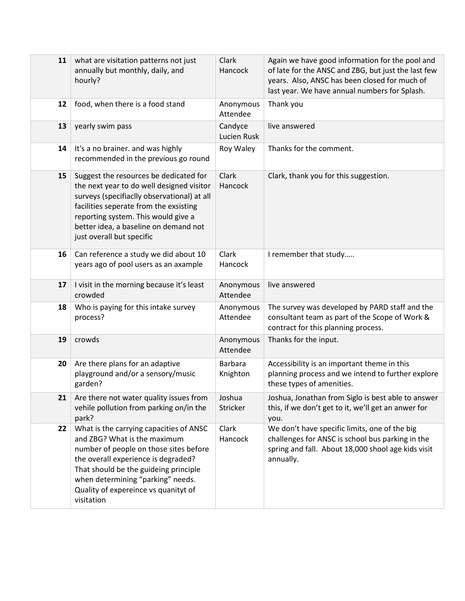| 11 | what are visitation patterns not just<br>annually but monthly, daily, and<br>hourly?                                                                                                                                                                                                         | Clark<br>Hancock           | Again we have good information for the pool and<br>of late for the ANSC and ZBG, but just the last few<br>years. Also, ANSC has been closed for much of<br>last year. We have annual numbers for Splash. |
|----|----------------------------------------------------------------------------------------------------------------------------------------------------------------------------------------------------------------------------------------------------------------------------------------------|----------------------------|----------------------------------------------------------------------------------------------------------------------------------------------------------------------------------------------------------|
| 12 | food, when there is a food stand                                                                                                                                                                                                                                                             | Anonymous<br>Attendee      | Thank you                                                                                                                                                                                                |
| 13 | yearly swim pass                                                                                                                                                                                                                                                                             | Candyce<br>Lucien Rusk     | live answered                                                                                                                                                                                            |
| 14 | It's a no brainer. and was highly<br>recommended in the previous go round                                                                                                                                                                                                                    | Roy Waley                  | Thanks for the comment.                                                                                                                                                                                  |
| 15 | Suggest the resources be dedicated for<br>the next year to do well designed visitor<br>surveys (specifiaclly observational) at all<br>facilities seperate from the exsisting<br>reporting system. This would give a<br>better idea, a baseline on demand not<br>just overall but specific    | Clark<br>Hancock           | Clark, thank you for this suggestion.                                                                                                                                                                    |
| 16 | Can reference a study we did about 10<br>years ago of pool users as an axample                                                                                                                                                                                                               | Clark<br>Hancock           | I remember that study                                                                                                                                                                                    |
| 17 | I visit in the morning because it's least<br>crowded                                                                                                                                                                                                                                         | Anonymous<br>Attendee      | live answered                                                                                                                                                                                            |
| 18 | Who is paying for this intake survey<br>process?                                                                                                                                                                                                                                             | Anonymous<br>Attendee      | The survey was developed by PARD staff and the<br>consultant team as part of the Scope of Work &<br>contract for this planning process.                                                                  |
| 19 | crowds                                                                                                                                                                                                                                                                                       | Anonymous<br>Attendee      | Thanks for the input.                                                                                                                                                                                    |
| 20 | Are there plans for an adaptive<br>playground and/or a sensory/music<br>garden?                                                                                                                                                                                                              | <b>Barbara</b><br>Knighton | Accessibility is an important theme in this<br>planning process and we intend to further explore<br>these types of amenities.                                                                            |
| 21 | Are there not water quality issues from<br>vehile pollution from parking on/in the<br>park?                                                                                                                                                                                                  | Joshua<br>Stricker         | Joshua, Jonathan from Siglo is best able to answer<br>this, if we don't get to it, we'll get an anwer for<br>you.                                                                                        |
| 22 | What is the carrying capacities of ANSC<br>and ZBG? What is the maximum<br>number of people on those sites before<br>the overall experience is degraded?<br>That should be the guideing principle<br>when determining "parking" needs.<br>Quality of expereince vs quanityt of<br>visitation | Clark<br>Hancock           | We don't have specific limits, one of the big<br>challenges for ANSC is school bus parking in the<br>spring and fall. About 18,000 shool age kids visit<br>annually.                                     |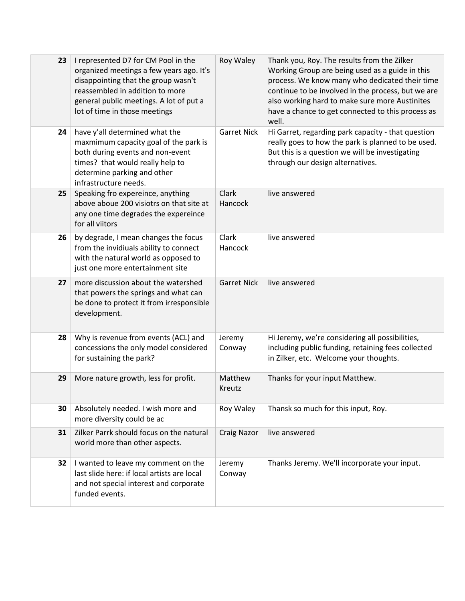| 23 | I represented D7 for CM Pool in the<br>organized meetings a few years ago. It's<br>disappointing that the group wasn't<br>reassembled in addition to more<br>general public meetings. A lot of put a<br>lot of time in those meetings | Roy Waley          | Thank you, Roy. The results from the Zilker<br>Working Group are being used as a guide in this<br>process. We know many who dedicated their time<br>continue to be involved in the process, but we are<br>also working hard to make sure more Austinites<br>have a chance to get connected to this process as<br>well. |
|----|---------------------------------------------------------------------------------------------------------------------------------------------------------------------------------------------------------------------------------------|--------------------|------------------------------------------------------------------------------------------------------------------------------------------------------------------------------------------------------------------------------------------------------------------------------------------------------------------------|
| 24 | have y'all determined what the<br>maxmimum capacity goal of the park is<br>both during events and non-event<br>times? that would really help to<br>determine parking and other<br>infrastructure needs.                               | <b>Garret Nick</b> | Hi Garret, regarding park capacity - that question<br>really goes to how the park is planned to be used.<br>But this is a question we will be investigating<br>through our design alternatives.                                                                                                                        |
| 25 | Speaking fro expereince, anything<br>above aboue 200 visiotrs on that site at<br>any one time degrades the expereince<br>for all viitors                                                                                              | Clark<br>Hancock   | live answered                                                                                                                                                                                                                                                                                                          |
| 26 | by degrade, I mean changes the focus<br>from the invidiuals ability to connect<br>with the natural world as opposed to<br>just one more entertainment site                                                                            | Clark<br>Hancock   | live answered                                                                                                                                                                                                                                                                                                          |
| 27 | more discussion about the watershed<br>that powers the springs and what can<br>be done to protect it from irresponsible<br>development.                                                                                               | <b>Garret Nick</b> | live answered                                                                                                                                                                                                                                                                                                          |
| 28 | Why is revenue from events (ACL) and<br>concessions the only model considered<br>for sustaining the park?                                                                                                                             | Jeremy<br>Conway   | Hi Jeremy, we're considering all possibilities,<br>including public funding, retaining fees collected<br>in Zilker, etc. Welcome your thoughts.                                                                                                                                                                        |
| 29 | More nature growth, less for profit.                                                                                                                                                                                                  | Matthew<br>Kreutz  | Thanks for your input Matthew.                                                                                                                                                                                                                                                                                         |
| 30 | Absolutely needed. I wish more and<br>more diversity could be ac                                                                                                                                                                      | Roy Waley          | Thansk so much for this input, Roy.                                                                                                                                                                                                                                                                                    |
| 31 | Zilker Parrk should focus on the natural<br>world more than other aspects.                                                                                                                                                            | <b>Craig Nazor</b> | live answered                                                                                                                                                                                                                                                                                                          |
| 32 | I wanted to leave my comment on the<br>last slide here: if local artists are local<br>and not special interest and corporate<br>funded events.                                                                                        | Jeremy<br>Conway   | Thanks Jeremy. We'll incorporate your input.                                                                                                                                                                                                                                                                           |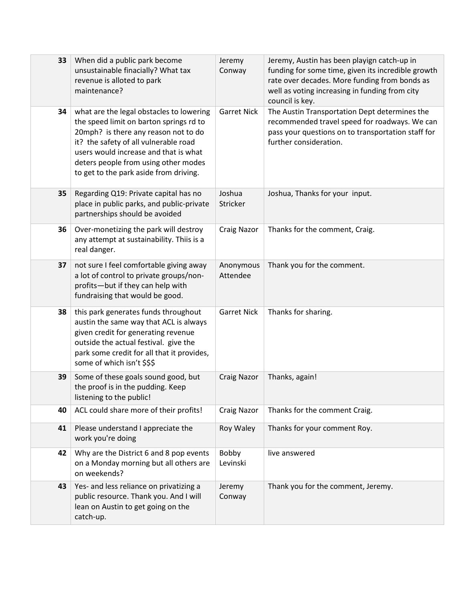| 33 | When did a public park become<br>unsustainable finacially? What tax<br>revenue is alloted to park<br>maintenance?                                                                                                                                                                               | Jeremy<br>Conway      | Jeremy, Austin has been playign catch-up in<br>funding for some time, given its incredible growth<br>rate over decades. More funding from bonds as<br>well as voting increasing in funding from city<br>council is key. |
|----|-------------------------------------------------------------------------------------------------------------------------------------------------------------------------------------------------------------------------------------------------------------------------------------------------|-----------------------|-------------------------------------------------------------------------------------------------------------------------------------------------------------------------------------------------------------------------|
| 34 | what are the legal obstacles to lowering<br>the speed limit on barton springs rd to<br>20mph? is there any reason not to do<br>it? the safety of all vulnerable road<br>users would increase and that is what<br>deters people from using other modes<br>to get to the park aside from driving. | <b>Garret Nick</b>    | The Austin Transportation Dept determines the<br>recommended travel speed for roadways. We can<br>pass your questions on to transportation staff for<br>further consideration.                                          |
| 35 | Regarding Q19: Private capital has no<br>place in public parks, and public-private<br>partnerships should be avoided                                                                                                                                                                            | Joshua<br>Stricker    | Joshua, Thanks for your input.                                                                                                                                                                                          |
| 36 | Over-monetizing the park will destroy<br>any attempt at sustainability. Thiis is a<br>real danger.                                                                                                                                                                                              | <b>Craig Nazor</b>    | Thanks for the comment, Craig.                                                                                                                                                                                          |
| 37 | not sure I feel comfortable giving away<br>a lot of control to private groups/non-<br>profits-but if they can help with<br>fundraising that would be good.                                                                                                                                      | Anonymous<br>Attendee | Thank you for the comment.                                                                                                                                                                                              |
| 38 | this park generates funds throughout<br>austin the same way that ACL is always<br>given credit for generating revenue<br>outside the actual festival. give the<br>park some credit for all that it provides,<br>some of which isn't \$\$\$                                                      | <b>Garret Nick</b>    | Thanks for sharing.                                                                                                                                                                                                     |
| 39 | Some of these goals sound good, but<br>the proof is in the pudding. Keep<br>listening to the public!                                                                                                                                                                                            | <b>Craig Nazor</b>    | Thanks, again!                                                                                                                                                                                                          |
| 40 | ACL could share more of their profits!                                                                                                                                                                                                                                                          | <b>Craig Nazor</b>    | Thanks for the comment Craig.                                                                                                                                                                                           |
| 41 | Please understand I appreciate the<br>work you're doing                                                                                                                                                                                                                                         | Roy Waley             | Thanks for your comment Roy.                                                                                                                                                                                            |
| 42 | Why are the District 6 and 8 pop events<br>on a Monday morning but all others are<br>on weekends?                                                                                                                                                                                               | Bobby<br>Levinski     | live answered                                                                                                                                                                                                           |
| 43 | Yes- and less reliance on privatizing a<br>public resource. Thank you. And I will<br>lean on Austin to get going on the<br>catch-up.                                                                                                                                                            | Jeremy<br>Conway      | Thank you for the comment, Jeremy.                                                                                                                                                                                      |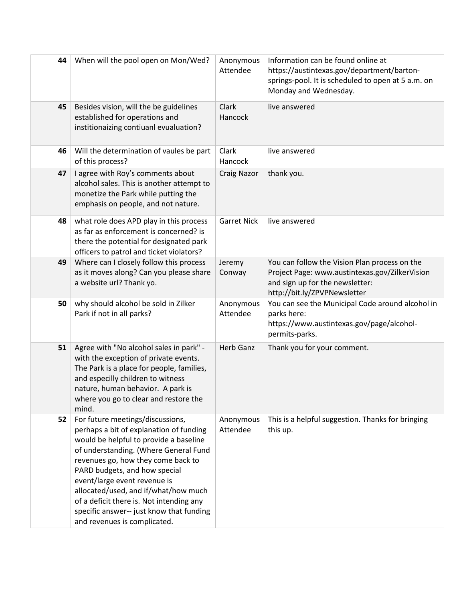| 44 | When will the pool open on Mon/Wed?                                                                                                                                                                                                                                                                                                                                                                                                   | Anonymous<br>Attendee | Information can be found online at<br>https://austintexas.gov/department/barton-<br>springs-pool. It is scheduled to open at 5 a.m. on<br>Monday and Wednesday.    |
|----|---------------------------------------------------------------------------------------------------------------------------------------------------------------------------------------------------------------------------------------------------------------------------------------------------------------------------------------------------------------------------------------------------------------------------------------|-----------------------|--------------------------------------------------------------------------------------------------------------------------------------------------------------------|
| 45 | Besides vision, will the be guidelines<br>established for operations and<br>institionaizing contiuanl evualuation?                                                                                                                                                                                                                                                                                                                    | Clark<br>Hancock      | live answered                                                                                                                                                      |
| 46 | Will the determination of vaules be part<br>of this process?                                                                                                                                                                                                                                                                                                                                                                          | Clark<br>Hancock      | live answered                                                                                                                                                      |
| 47 | I agree with Roy's comments about<br>alcohol sales. This is another attempt to<br>monetize the Park while putting the<br>emphasis on people, and not nature.                                                                                                                                                                                                                                                                          | <b>Craig Nazor</b>    | thank you.                                                                                                                                                         |
| 48 | what role does APD play in this process<br>as far as enforcement is concerned? is<br>there the potential for designated park<br>officers to patrol and ticket violators?                                                                                                                                                                                                                                                              | <b>Garret Nick</b>    | live answered                                                                                                                                                      |
| 49 | Where can I closely follow this process<br>as it moves along? Can you please share<br>a website url? Thank yo.                                                                                                                                                                                                                                                                                                                        | Jeremy<br>Conway      | You can follow the Vision Plan process on the<br>Project Page: www.austintexas.gov/ZilkerVision<br>and sign up for the newsletter:<br>http://bit.ly/ZPVPNewsletter |
| 50 | why should alcohol be sold in Zilker<br>Park if not in all parks?                                                                                                                                                                                                                                                                                                                                                                     | Anonymous<br>Attendee | You can see the Municipal Code around alcohol in<br>parks here:<br>https://www.austintexas.gov/page/alcohol-<br>permits-parks.                                     |
| 51 | Agree with "No alcohol sales in park" -<br>with the exception of private events.<br>The Park is a place for people, families,<br>and especilly children to witness<br>nature, human behavior. A park is<br>where you go to clear and restore the<br>mind.                                                                                                                                                                             | <b>Herb Ganz</b>      | Thank you for your comment.                                                                                                                                        |
| 52 | For future meetings/discussions,<br>perhaps a bit of explanation of funding<br>would be helpful to provide a baseline<br>of understanding. (Where General Fund<br>revenues go, how they come back to<br>PARD budgets, and how special<br>event/large event revenue is<br>allocated/used, and if/what/how much<br>of a deficit there is. Not intending any<br>specific answer-- just know that funding<br>and revenues is complicated. | Anonymous<br>Attendee | This is a helpful suggestion. Thanks for bringing<br>this up.                                                                                                      |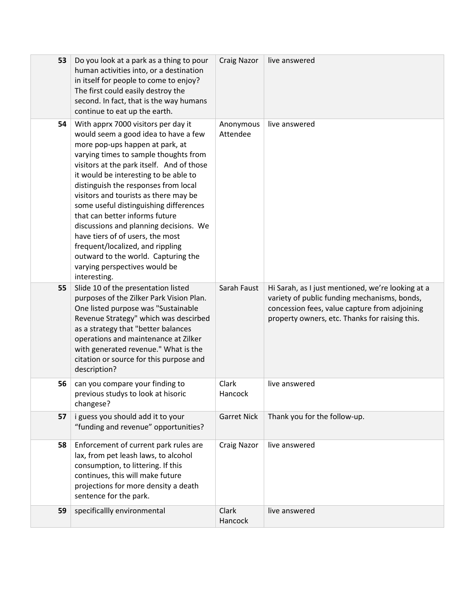| 53 | Do you look at a park as a thing to pour<br>human activities into, or a destination<br>in itself for people to come to enjoy?<br>The first could easily destroy the<br>second. In fact, that is the way humans<br>continue to eat up the earth.                                                                                                                                                                                                                                                                                                                                                                      | <b>Craig Nazor</b>    | live answered                                                                                                                                                                                        |
|----|----------------------------------------------------------------------------------------------------------------------------------------------------------------------------------------------------------------------------------------------------------------------------------------------------------------------------------------------------------------------------------------------------------------------------------------------------------------------------------------------------------------------------------------------------------------------------------------------------------------------|-----------------------|------------------------------------------------------------------------------------------------------------------------------------------------------------------------------------------------------|
| 54 | With apprx 7000 visitors per day it<br>would seem a good idea to have a few<br>more pop-ups happen at park, at<br>varying times to sample thoughts from<br>visitors at the park itself. And of those<br>it would be interesting to be able to<br>distinguish the responses from local<br>visitors and tourists as there may be<br>some useful distinguishing differences<br>that can better informs future<br>discussions and planning decisions. We<br>have tiers of of users, the most<br>frequent/localized, and rippling<br>outward to the world. Capturing the<br>varying perspectives would be<br>interesting. | Anonymous<br>Attendee | live answered                                                                                                                                                                                        |
| 55 | Slide 10 of the presentation listed<br>purposes of the Zilker Park Vision Plan.<br>One listed purpose was "Sustainable<br>Revenue Strategy" which was descirbed<br>as a strategy that "better balances<br>operations and maintenance at Zilker<br>with generated revenue." What is the<br>citation or source for this purpose and<br>description?                                                                                                                                                                                                                                                                    | Sarah Faust           | Hi Sarah, as I just mentioned, we're looking at a<br>variety of public funding mechanisms, bonds,<br>concession fees, value capture from adjoining<br>property owners, etc. Thanks for raising this. |
| 56 | can you compare your finding to<br>previous studys to look at hisoric<br>changese?                                                                                                                                                                                                                                                                                                                                                                                                                                                                                                                                   | Clark<br>Hancock      | live answered                                                                                                                                                                                        |
| 57 | i guess you should add it to your<br>"funding and revenue" opportunities?                                                                                                                                                                                                                                                                                                                                                                                                                                                                                                                                            | <b>Garret Nick</b>    | Thank you for the follow-up.                                                                                                                                                                         |
| 58 | Enforcement of current park rules are<br>lax, from pet leash laws, to alcohol<br>consumption, to littering. If this<br>continues, this will make future<br>projections for more density a death<br>sentence for the park.                                                                                                                                                                                                                                                                                                                                                                                            | <b>Craig Nazor</b>    | live answered                                                                                                                                                                                        |
| 59 | specificallly environmental                                                                                                                                                                                                                                                                                                                                                                                                                                                                                                                                                                                          | Clark<br>Hancock      | live answered                                                                                                                                                                                        |